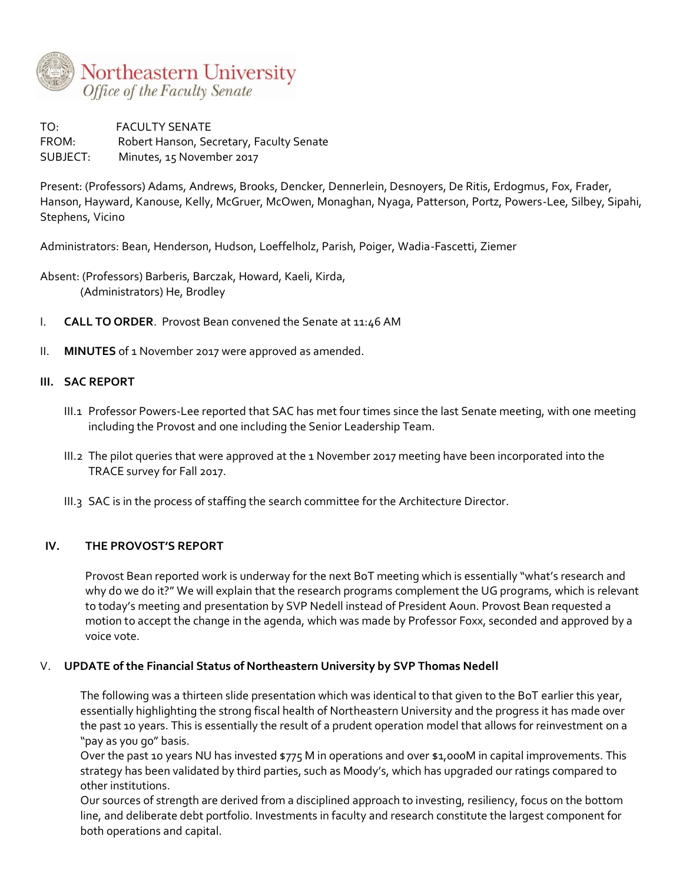

TO: FACULTY SENATE FROM: Robert Hanson, Secretary, Faculty Senate SUBJECT: Minutes, 15 November 2017

Present: (Professors) Adams, Andrews, Brooks, Dencker, Dennerlein, Desnoyers, De Ritis, Erdogmus, Fox, Frader, Hanson, Hayward, Kanouse, Kelly, McGruer, McOwen, Monaghan, Nyaga, Patterson, Portz, Powers-Lee, Silbey, Sipahi, Stephens, Vicino

Administrators: Bean, Henderson, Hudson, Loeffelholz, Parish, Poiger, Wadia-Fascetti, Ziemer

Absent: (Professors) Barberis, Barczak, Howard, Kaeli, Kirda, (Administrators) He, Brodley

- I. **CALL TO ORDER**. Provost Bean convened the Senate at 11:46 AM
- II. **MINUTES** of 1 November 2017 were approved as amended.

### **III. SAC REPORT**

- III.1 Professor Powers-Lee reported that SAC has met four times since the last Senate meeting, with one meeting including the Provost and one including the Senior Leadership Team.
- III.2 The pilot queries that were approved at the 1 November 2017 meeting have been incorporated into the TRACE survey for Fall 2017.
- III.3 SAC is in the process of staffing the search committee for the Architecture Director.

# **IV. THE PROVOST'S REPORT**

Provost Bean reported work is underway for the next BoT meeting which is essentially "what's research and why do we do it?" We will explain that the research programs complement the UG programs, which is relevant to today's meeting and presentation by SVP Nedell instead of President Aoun. Provost Bean requested a motion to accept the change in the agenda, which was made by Professor Foxx, seconded and approved by a voice vote.

### V. **UPDATE of the Financial Status of Northeastern University by SVP Thomas Nedell**

The following was a thirteen slide presentation which was identical to that given to the BoT earlier this year, essentially highlighting the strong fiscal health of Northeastern University and the progress it has made over the past 10 years. This is essentially the result of a prudent operation model that allows for reinvestment on a "pay as you go" basis.

Over the past 10 years NU has invested \$775 M in operations and over \$1,000M in capital improvements. This strategy has been validated by third parties, such as Moody's, which has upgraded our ratings compared to other institutions.

Our sources of strength are derived from a disciplined approach to investing, resiliency, focus on the bottom line, and deliberate debt portfolio. Investments in faculty and research constitute the largest component for both operations and capital.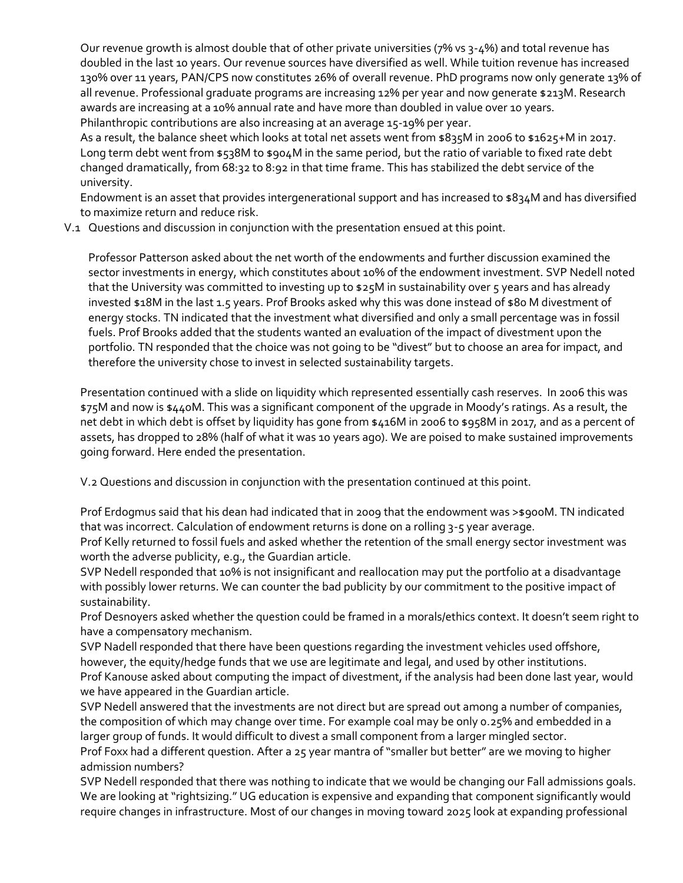Our revenue growth is almost double that of other private universities (7% vs 3-4%) and total revenue has doubled in the last 10 years. Our revenue sources have diversified as well. While tuition revenue has increased 130% over 11 years, PAN/CPS now constitutes 26% of overall revenue. PhD programs now only generate 13% of all revenue. Professional graduate programs are increasing 12% per year and now generate \$213M. Research awards are increasing at a 10% annual rate and have more than doubled in value over 10 years. Philanthropic contributions are also increasing at an average 15-19% per year.

As a result, the balance sheet which looks at total net assets went from \$835M in 2006 to \$1625+M in 2017. Long term debt went from \$538M to \$904M in the same period, but the ratio of variable to fixed rate debt changed dramatically, from 68:32 to 8:92 in that time frame. This has stabilized the debt service of the university.

Endowment is an asset that provides intergenerational support and has increased to \$834M and has diversified to maximize return and reduce risk.

V.1 Questions and discussion in conjunction with the presentation ensued at this point.

Professor Patterson asked about the net worth of the endowments and further discussion examined the sector investments in energy, which constitutes about 10% of the endowment investment. SVP Nedell noted that the University was committed to investing up to \$25M in sustainability over 5 years and has already invested \$18M in the last 1.5 years. Prof Brooks asked why this was done instead of \$80 M divestment of energy stocks. TN indicated that the investment what diversified and only a small percentage was in fossil fuels. Prof Brooks added that the students wanted an evaluation of the impact of divestment upon the portfolio. TN responded that the choice was not going to be "divest" but to choose an area for impact, and therefore the university chose to invest in selected sustainability targets.

Presentation continued with a slide on liquidity which represented essentially cash reserves. In 2006 this was \$75M and now is \$440M. This was a significant component of the upgrade in Moody's ratings. As a result, the net debt in which debt is offset by liquidity has gone from \$416M in 2006 to \$958M in 2017, and as a percent of assets, has dropped to 28% (half of what it was 10 years ago). We are poised to make sustained improvements going forward. Here ended the presentation.

V.2 Questions and discussion in conjunction with the presentation continued at this point.

Prof Erdogmus said that his dean had indicated that in 2009 that the endowment was >\$900M. TN indicated that was incorrect. Calculation of endowment returns is done on a rolling 3-5 year average.

Prof Kelly returned to fossil fuels and asked whether the retention of the small energy sector investment was worth the adverse publicity, e.g., the Guardian article.

SVP Nedell responded that 10% is not insignificant and reallocation may put the portfolio at a disadvantage with possibly lower returns. We can counter the bad publicity by our commitment to the positive impact of sustainability.

Prof Desnoyers asked whether the question could be framed in a morals/ethics context. It doesn't seem right to have a compensatory mechanism.

SVP Nadell responded that there have been questions regarding the investment vehicles used offshore, however, the equity/hedge funds that we use are legitimate and legal, and used by other institutions. Prof Kanouse asked about computing the impact of divestment, if the analysis had been done last year, would we have appeared in the Guardian article.

SVP Nedell answered that the investments are not direct but are spread out among a number of companies, the composition of which may change over time. For example coal may be only 0.25% and embedded in a larger group of funds. It would difficult to divest a small component from a larger mingled sector.

Prof Foxx had a different question. After a 25 year mantra of "smaller but better" are we moving to higher admission numbers?

SVP Nedell responded that there was nothing to indicate that we would be changing our Fall admissions goals. We are looking at "rightsizing." UG education is expensive and expanding that component significantly would require changes in infrastructure. Most of our changes in moving toward 2025 look at expanding professional